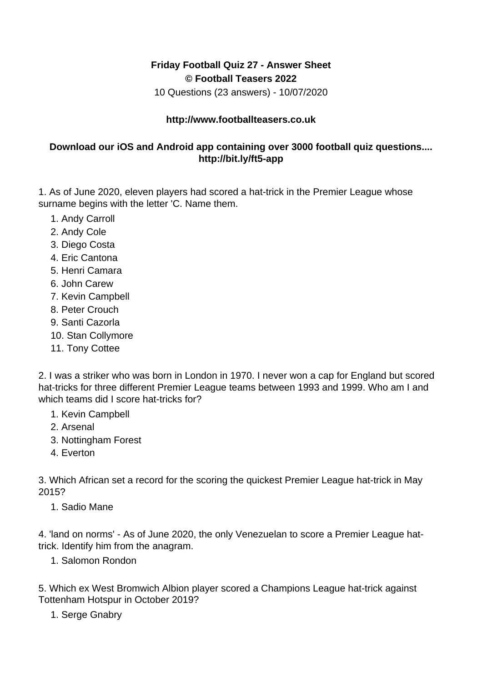## **Friday Football Quiz 27 - Answer Sheet © Football Teasers 2022**

10 Questions (23 answers) - 10/07/2020

## **http://www.footballteasers.co.uk**

## **Download our iOS and Android app containing over 3000 football quiz questions.... http://bit.ly/ft5-app**

1. As of June 2020, eleven players had scored a hat-trick in the Premier League whose surname begins with the letter 'C. Name them.

- 1. Andy Carroll
- 2. Andy Cole
- 3. Diego Costa
- 4. Eric Cantona
- 5. Henri Camara
- 6. John Carew
- 7. Kevin Campbell
- 8. Peter Crouch
- 9. Santi Cazorla
- 10. Stan Collymore
- 11. Tony Cottee

2. I was a striker who was born in London in 1970. I never won a cap for England but scored hat-tricks for three different Premier League teams between 1993 and 1999. Who am I and which teams did I score hat-tricks for?

- 1. Kevin Campbell
- 2. Arsenal
- 3. Nottingham Forest
- 4. Everton

3. Which African set a record for the scoring the quickest Premier League hat-trick in May 2015?

1. Sadio Mane

4. 'land on norms' - As of June 2020, the only Venezuelan to score a Premier League hattrick. Identify him from the anagram.

1. Salomon Rondon

5. Which ex West Bromwich Albion player scored a Champions League hat-trick against Tottenham Hotspur in October 2019?

1. Serge Gnabry